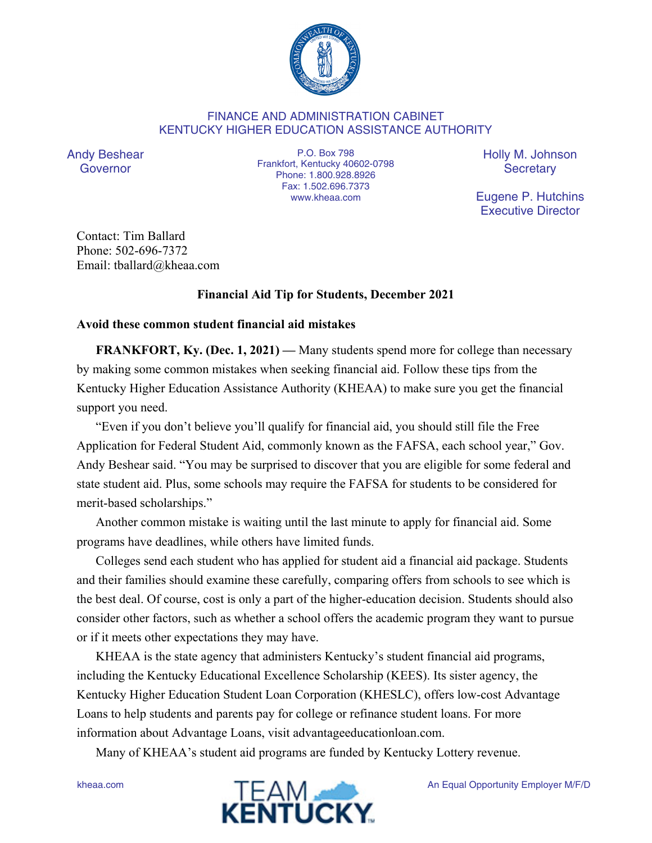

## FINANCE AND ADMINISTRATION CABINET KENTUCKY HIGHER EDUCATION ASSISTANCE AUTHORITY

Andy Beshear Governor

P.O. Box 798 Frankfort, Kentucky 40602-0798 Phone: 1.800.928.8926 Fax: 1.502.696.7373 www.kheaa.com

Holly M. Johnson **Secretary** 

Eugene P. Hutchins Executive Director

Contact: Tim Ballard Phone: 502-696-7372 Email: tballard@kheaa.com

## **Financial Aid Tip for Students, December 2021**

## **Avoid these common student financial aid mistakes**

**FRANKFORT, Ky. (Dec. 1, 2021) —** Many students spend more for college than necessary by making some common mistakes when seeking financial aid. Follow these tips from the Kentucky Higher Education Assistance Authority (KHEAA) to make sure you get the financial support you need.

"Even if you don't believe you'll qualify for financial aid, you should still file the Free Application for Federal Student Aid, commonly known as the FAFSA, each school year," Gov. Andy Beshear said. "You may be surprised to discover that you are eligible for some federal and state student aid. Plus, some schools may require the FAFSA for students to be considered for merit-based scholarships."

Another common mistake is waiting until the last minute to apply for financial aid. Some programs have deadlines, while others have limited funds.

Colleges send each student who has applied for student aid a financial aid package. Students and their families should examine these carefully, comparing offers from schools to see which is the best deal. Of course, cost is only a part of the higher-education decision. Students should also consider other factors, such as whether a school offers the academic program they want to pursue or if it meets other expectations they may have.

KHEAA is the state agency that administers Kentucky's student financial aid programs, including the Kentucky Educational Excellence Scholarship (KEES). Its sister agency, the Kentucky Higher Education Student Loan Corporation (KHESLC), offers low-cost Advantage Loans to help students and parents pay for college or refinance student loans. For more information about Advantage Loans, visit advantageeducationloan.com.

Many of KHEAA's student aid programs are funded by Kentucky Lottery revenue.